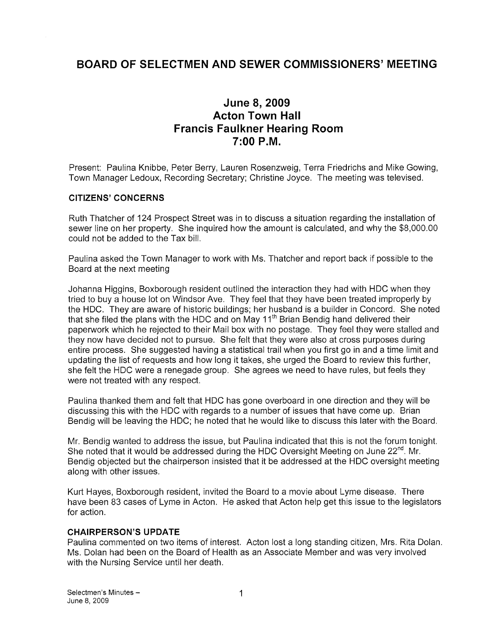# BOARD OF SELECTMEN AND SEWER COMMISSIONERS' MEETING

# June 8, 2009 Acton Town Hall Francis Faulkner Hearing Room 7:00 P.M.

Present: Paulina Knibbe, Peter Berry, Lauren Rosenzweig, Terra Friedrichs and Mike Gowing, Town Manager Ledoux, Recording Secretary; Christine Joyce. The meeting was televised.

#### CITIZENS' CONCERNS

Ruth Thatcher of 124 Prospect Street was in to discuss a situation regarding the installation of sewer line on her property. She inquired how the amount is calculated, and why the \$8,000.00 could not be added to the Tax bill.

Paulina asked the Town Manager to work with Ms. Thatcher and report back if possible to the Board at the next meeting

Johanna Higgins, Boxborough resident outlined the interaction they had with HDC when they tried to buy a house lot on Windsor Ave. They feel that they have been treated improperly by the HDC. They are aware of historic buildings; her husband is a builder in Concord. She noted that she filed the plans with the HDC and on May 11<sup>th</sup> Brian Bendig hand delivered their paperwork which he rejected to their Mail box with no postage. They feel they were stalled and they now have decided not to pursue. She felt that they were also at cross purposes during entire process. She suggested having a statistical trail when you first go in and a time limit and updating the list of requests and how long it takes, she urged the Board to review this further, she felt the HDC were a renegade group. She agrees we need to have rules, but feels they were not treated with any respect.

Paulina thanked them and felt that HDC has gone overboard in one direction and they will be discussing this with the HDC with regards to a number of issues that have come up. Brian Bendig will be leaving the HDC; he noted that he would like to discuss this later with the Board.

Mr. Bendig wanted to address the issue, but Paulina indicated that this is not the forum tonight.<br>She noted that it would be addressed during the HDC Oversight Meeting on June 22<sup>nd</sup>. Mr. Bendig objected but the chairperson insisted that it be addressed at the HDC oversight meeting along with other issues.

Kurt Hayes, Boxborough resident, invited the Board to a movie about Lyme disease. There have been 83 cases of Lyme in Acton. He asked that Acton help get this issue to the legislators for action.

#### CHAIRPERSON'S UPDATE

Paulina commented on two items of interest. Acton lost a long standing citizen, Mrs. Rita Dolan. Ms. Dolan had been on the Board of Health as an Associate Member and was very involved with the Nursing Service until her death.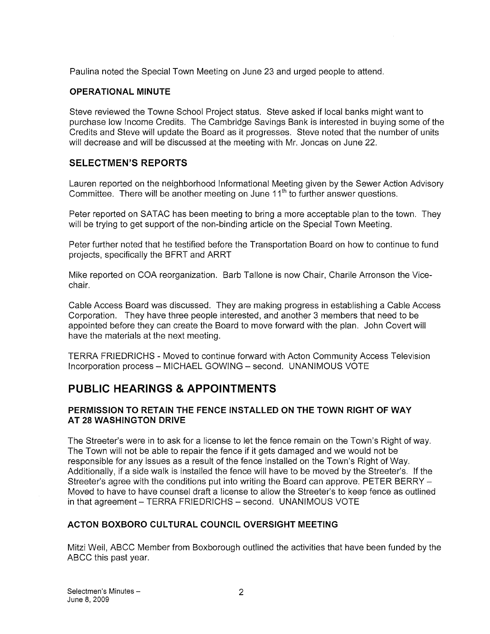Paulina noted the Special Town Meeting on June 23 and urged people to attend.

## OPERATIONAL MINUTE

Steve reviewed the Towne School Project status. Steve asked if local banks might want to purchase low Income Credits. The Cambridge Savings Bank is interested in buying some of the Credits and Steve will update the Board as it progresses. Steve noted that the number of units will decrease and will be discussed at the meeting with Mr. Joncas on June 22.

# SELECTMEN'S REPORTS

Lauren reported on the neighborhood Informational Meeting given by the Sewer Action Advisory Committee. There will be another meeting on June  $11<sup>th</sup>$  to further answer questions.

Peter reported on SATAC has been meeting to bring a more acceptable plan to the town. They will be trying to get support of the non-binding article on the Special Town Meeting.

Peter further noted that he testified before the Transportation Board on how to continue to fund projects, specifically the BFRT and ARRT

Mike reported on COA reorganization. Barb Tallone is now Chair, Charlie Arronson the Vicechair.

Cable Access Board was discussed. They are making progress in establishing a Cable Access Corporation. They have three people interested, and another 3 members that need to be appointed before they can create the Board to move forward with the plan. John Covert will have the materials at the next meeting.

TERRA FRIEDRICHS -Moved to continue forward with Acton Community Access Television Incorporation process — MICHAEL GOWING — second. UNANIMOUS VOTE

# PUBLIC HEARINGS & APPOINTMENTS

## PERMISSION TO RETAIN THE FENCE INSTALLED ON THE TOWN RIGHT OF WAY AT 28 WASHINGTON DRIVE

The Streeter's were in to ask for a license to let the fence remain on the Town's Right of way. The Town will not be able to repair the fence if it gets damaged and we would not be responsible for any issues as a result of the fence installed on the Town's Right of Way. Additionally, if a side walk is installed the fence will have to be moved by the Streeter's. If the Streeter's agree with the conditions put into writing the Board can approve. PETER BERRY — Moved to have to have counsel draft a license to allow the Streeter's to keep fence as outlined in that agreement — TERRA FRIEDRICHS — second. UNANIMOUS VOTE

# ACTON BOXBORO CULTURAL COUNCIL OVERSIGHT MEETING

Mitzi Weil, ABCC Member from Boxborough outlined the activities that have been funded by the ABCC this past year.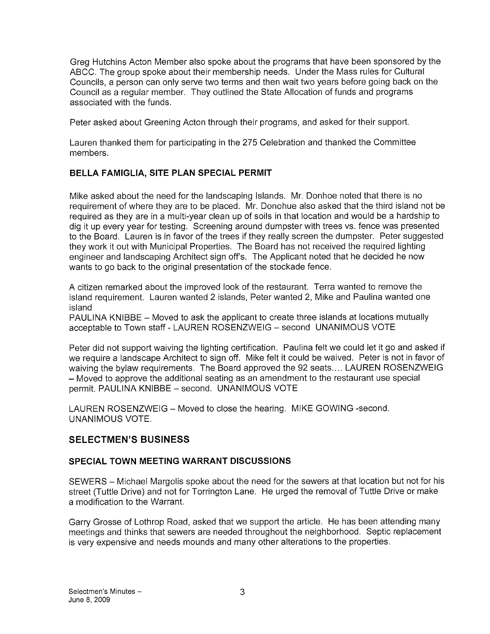Greg Hutchins Acton Member also spoke about the programs that have been sponsored by the ABCC. The group spoke about their membership needs. Under the Mass rules for Cultural Councils, a person can only serve two terms and then wait two years before going back on the Council as a regular member. They outlined the State Allocation of funds and programs associated with the funds.

Peter asked about Greening Acton through their programs, and asked for their support.

Lauren thanked them for participating in the 275 Celebration and thanked the Committee members.

# BELLA FAMIGLIA, SITE PLAN SPECIAL PERMIT

Mike asked about the need for the landscaping Islands. Mr. Donhoe noted that there is no requirement of where they are to be placed. Mr. Donohue also asked that the third island not be required as they are in a multi-year clean up of soils in that location and would be a hardship to dig it up every year for testing. Screening around dumpster with trees vs. fence was presented to the Board. Lauren is in favor of the trees if they really screen the dumpster. Peter suggested they work it out with Municipal Properties. The Board has not received the required lighting engineer and landscaping Architect sign off's. The Applicant noted that he decided he now wants to go back to the original presentation of the stockade fence.

A citizen remarked about the improved look of the restaurant. Terra wanted to remove the island requirement. Lauren wanted 2 islands, Peter wanted 2, Mike and Paulina wanted one island

PAULINA KNIBBE — Moved to ask the applicant to create three islands at locations mutually acceptable to Town staff - LAUREN ROSENZWEIG — second UNANIMOUS VOTE

Peter did not support waiving the lighting certification. Paulina felt we could let it go and asked if we require a landscape Architect to sign off. Mike felt it could be waived. Peter is not in favor of waiving the bylaw requirements. The Board approved the 92 seats.... LAUREN ROSENZWEIG — Moved to approve the additional seating as an amendment to the restaurant use special permit. PAULINA KNIBBE — second. UNANIMOUS VOTE

LAUREN ROSENZWEIG — Moved to close the hearing. MIKE GOWING -second. UNANIMOUS VOTE.

# SELECTMEN'S BUSINESS

#### SPECIAL TOWN MEETING WARRANT DISCUSSIONS

SEWERS — Michael Margolis spoke about the need for the sewers at that location but not for his street (Tuttle Drive) and not for Torrington Lane. He urged the removal of Tuttle Drive or make a modification to the Warrant.

Garry Grosse of Lothrop Road, asked that we support the article. He has been attending many meetings and thinks that sewers are needed throughout the neighborhood. Septic replacement is very expensive and needs mounds and many other alterations to the properties.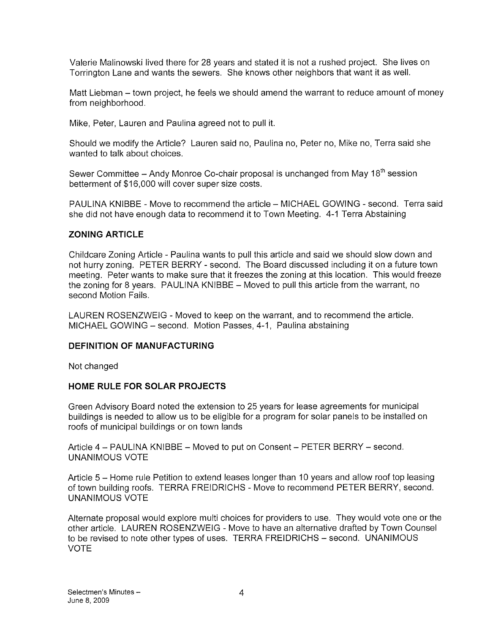Valerie Malinowski lived there for 28 years and stated it is not a rushed project. She lives on Torrington Lane and wants the sewers. She knows other neighbors that want it as well.

Matt Liebman — town project, he feels we should amend the warrant to reduce amount of money from neighborhood.

Mike, Peter, Lauren and Paulina agreed not to pull it.

Should we modify the Article? Lauren said no, Paulina no, Peter no, Mike no, Terra said she wanted to talk about choices.

Sewer Committee - Andy Monroe Co-chair proposal is unchanged from May 18<sup>th</sup> session betterment of \$16,000 will cover super size costs.

PAULINA KNIBBE - Move to recommend the article - MICHAEL GOWING - second. Terra said she did not have enough data to recommend it to Town Meeting. 4-1 Terra Abstaining

#### ZONING ARTICLE

Childcare Zoning Article - Paulina wants to pull this article and said we should slow down and not hurry zoning. PETER BERRY - second. The Board discussed including it on a future town meeting. Peter wants to make sure that it freezes the zoning at this location. This would freeze the zoning for 8 years. PAULINA KNIBBE — Moved to pull this article from the warrant, no second Motion Fails.

LAUREN ROSENZWEIG - Moved to keep on the warrant, and to recommend the article. MICHAEL GOWING — second. Motion Passes, 4-1, Paulina abstaining

#### DEFINITION OF MANUFACTURING

Not changed

#### HOME RULE FOR SOLAR PROJECTS

Green Advisory Board noted the extension to 25 years for lease agreements for municipal buildings is needed to allow us to be eligible for a program for solar panels to be installed on roofs of municipal buildings or on town lands

Article 4 — PAULINA KNIBBE — Moved to put on Consent — PETER BERRY — second. UNANIMOUS VOTE

Article 5 — Home rule Petition to extend leases longer than 10 years and allow roof top leasing of town building roofs. TERRA FREIDRICHS - Move to recommend PETER BERRY, second. UNANIMOUS VOTE

Alternate proposal would explore multi choices for providers to use. They would vote one or the other article. LAUREN ROSENZWEIG -Move to have an alternative drafted by Town Counsel to be revised to note other types of uses. TERRA FREIDRICHS — second. UNANIMOUS VOTE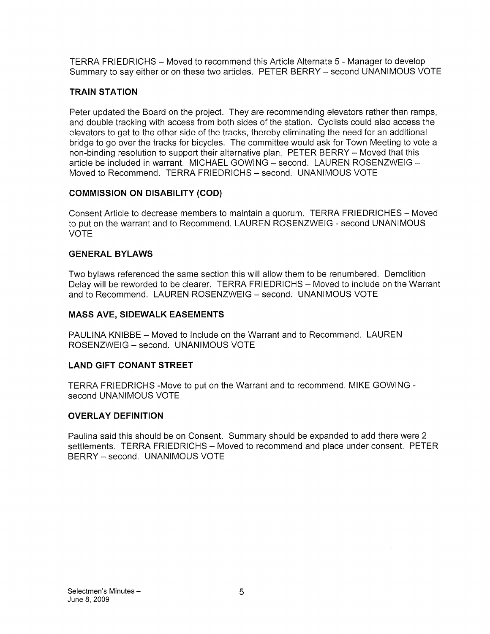TERRA FRIEDRICHS - Moved to recommend this Article Alternate 5 - Manager to develop Summary to say either or on these two articles. PETER BERRY — second UNANIMOUS VOTE

## TRAIN STATION

Peter updated the Board on the project. They are recommending elevators rather than ramps, and double tracking with access from both sides of the station. Cyclists could also access the elevators to get to the other side of the tracks, thereby eliminating the need for an additional bridge to go over the tracks for bicycles. The committee would ask for Town Meeting to vote a non-binding resolution to support their alternative plan. PETER BERRY - Moved that this article be included in warrant. MICHAEL GOWING — second. LAUREN ROSENZWEIG — Moved to Recommend. TERRA FRIEDRICHS — second. UNANIMOUS VOTE

## COMMISSION ON DISABILITY (COD)

Consent Article to decrease members to maintain a quorum. TERRA FRIEDRICHES — Moved to put on the warrant and to Recommend. LAUREN ROSENZWEIG - second UNANIMOUS VOTE

## GENERAL BYLAWS

Two bylaws referenced the same section this will allow them to be renumbered. Demolition Delay will be reworded to be clearer. TERRA FRIEDRICHS — Moved to include on the Warrant and to Recommend. LAUREN ROSENZWEIG — second. UNANIMOUS VOTE

## MASS AyE, SIDEWALK EASEMENTS

PAULINA KNIBBE — Moved to Include on the Warrant and to Recommend. LAUREN ROSENZWEIG — second. UNANIMOUS VOTE

# LAND GIFT CONANT STREET

TERRA FRIEDRICHS -Move to put on the Warrant and to recommend, MIKE GOWING second UNANIMOUS VOTE

#### OVERLAY DEFINITION

Paulina said this should be on Consent. Summary should be expanded to add there were 2 settlements. TERRA FRIEDRICHS — Moved to recommend and place under consent. PETER BERRY — second. UNANIMOUS VOTE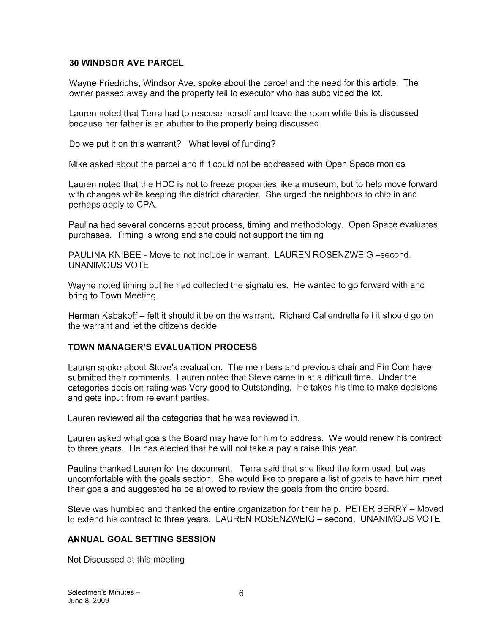#### 30 WINDSOR AVE PARCEL

Wayne Friedrichs, Windsor Ave. spoke about the parcel and the need for this article. The owner passed away and the property fell to executor who has subdivided the lot.

Lauren noted that Terra had to rescuse herself and leave the room while this is discussed because her father is an abutter to the property being discussed.

Do we put it on this warrant? What level of funding?

Mike asked about the parcel and if it could not be addressed with Open Space monies

Lauren noted that the HDC is not to freeze properties like a museum, but to help move forward with changes while keeping the district character. She urged the neighbors to chip in and perhaps apply to CPA.

Paulina had several concerns about process, timing and methodology. Open Space evaluates purchases. Timing is wrong and she could not support the timing

PAULINA KNIBEE - Move to not include in warrant. LAUREN ROSENZWEIG —second. UNANIMOUS VOTE

Wayne noted timing but he had collected the signatures. He wanted to go forward with and bring to Town Meeting.

Herman Kabakoff — felt it should it be on the warrant. Richard Callendrella felt it should go on the warrant and let the citizens decide

#### TOWN MANAGER'S EVALUATION PROCESS

Lauren spoke about Steve's evaluation. The members and previous chair and Fin Com have submitted their comments. Lauren noted that Steve came in at a difficult time. Under the categories decision rating was Very good to Outstanding. He takes his time to make decisions and gets input from relevant parties.

Lauren reviewed all the categories that he was reviewed in.

Lauren asked what goals the Board may have for him to address. We would renew his contract to three years. He has elected that he will not take a pay a raise this year.

Paulina thanked Lauren for the document. Terra said that she liked the form used, but was uncomfortable with the goals section. She would like to prepare a list of goals to have him meet their goals and suggested he be allowed to review the goals from the entire board.

Steve was humbled and thanked the entire organization for their help. PETER BERRY — Moved to extend his contract to three years. LAUREN ROSENZWEIG — second. UNANIMOUS VOTE

#### ANNUAL GOAL SETTING SESSION

Not Discussed at this meeting